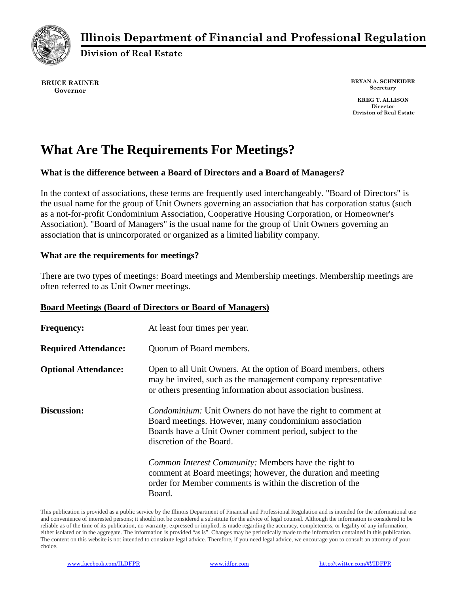

# **Illinois Department of Financial and Professional Regulation**

**Division of Real Estate**

**BRUCE RAUNER Governor**

**BRYAN A. SCHNEIDER Secretary**

**KREG T. ALLISON Director Division of Real Estate**

# **What Are The Requirements For Meetings?**

## **What is the difference between a Board of Directors and a Board of Managers?**

In the context of associations, these terms are frequently used interchangeably. "Board of Directors" is the usual name for the group of Unit Owners governing an association that has corporation status (such as a not-for-profit Condominium Association, Cooperative Housing Corporation, or Homeowner's Association). "Board of Managers" is the usual name for the group of Unit Owners governing an association that is unincorporated or organized as a limited liability company.

### **What are the requirements for meetings?**

There are two types of meetings: Board meetings and Membership meetings. Membership meetings are often referred to as Unit Owner meetings.

#### **Board Meetings (Board of Directors or Board of Managers)**

| <b>Frequency:</b>           | At least four times per year.                                                                                                                                                                                       |
|-----------------------------|---------------------------------------------------------------------------------------------------------------------------------------------------------------------------------------------------------------------|
| <b>Required Attendance:</b> | Quorum of Board members.                                                                                                                                                                                            |
| <b>Optional Attendance:</b> | Open to all Unit Owners. At the option of Board members, others<br>may be invited, such as the management company representative<br>or others presenting information about association business.                    |
| <b>Discussion:</b>          | <i>Condominium:</i> Unit Owners do not have the right to comment at<br>Board meetings. However, many condominium association<br>Boards have a Unit Owner comment period, subject to the<br>discretion of the Board. |
|                             | <i>Common Interest Community:</i> Members have the right to<br>comment at Board meetings; however, the duration and meeting<br>order for Member comments is within the discretion of the<br>Board.                  |

This publication is provided as a public service by the Illinois Department of Financial and Professional Regulation and is intended for the informational use and convenience of interested persons; it should not be considered a substitute for the advice of legal counsel. Although the information is considered to be reliable as of the time of its publication, no warranty, expressed or implied, is made regarding the accuracy, completeness, or legality of any information, either isolated or in the aggregate. The information is provided "as is". Changes may be periodically made to the information contained in this publication. The content on this website is not intended to constitute legal advice. Therefore, if you need legal advice, we encourage you to consult an attorney of your choice.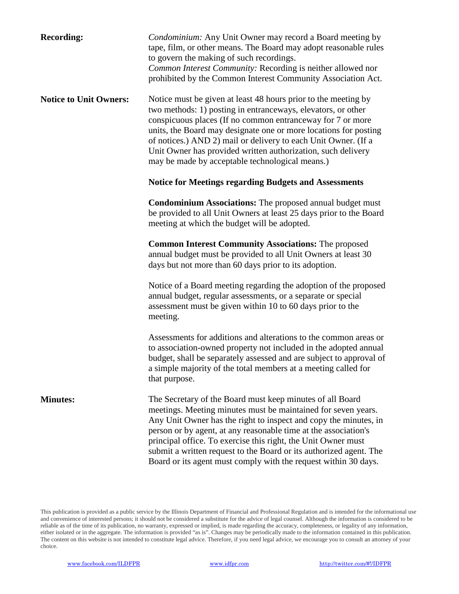| <b>Recording:</b>             | Condominium: Any Unit Owner may record a Board meeting by<br>tape, film, or other means. The Board may adopt reasonable rules<br>to govern the making of such recordings.<br>Common Interest Community: Recording is neither allowed nor<br>prohibited by the Common Interest Community Association Act.                                                                                                                                                                    |
|-------------------------------|-----------------------------------------------------------------------------------------------------------------------------------------------------------------------------------------------------------------------------------------------------------------------------------------------------------------------------------------------------------------------------------------------------------------------------------------------------------------------------|
| <b>Notice to Unit Owners:</b> | Notice must be given at least 48 hours prior to the meeting by<br>two methods: 1) posting in entranceways, elevators, or other<br>conspicuous places (If no common entranceway for 7 or more<br>units, the Board may designate one or more locations for posting<br>of notices.) AND 2) mail or delivery to each Unit Owner. (If a<br>Unit Owner has provided written authorization, such delivery<br>may be made by acceptable technological means.)                       |
|                               | <b>Notice for Meetings regarding Budgets and Assessments</b>                                                                                                                                                                                                                                                                                                                                                                                                                |
|                               | <b>Condominium Associations:</b> The proposed annual budget must<br>be provided to all Unit Owners at least 25 days prior to the Board<br>meeting at which the budget will be adopted.                                                                                                                                                                                                                                                                                      |
|                               | <b>Common Interest Community Associations:</b> The proposed<br>annual budget must be provided to all Unit Owners at least 30<br>days but not more than 60 days prior to its adoption.                                                                                                                                                                                                                                                                                       |
|                               | Notice of a Board meeting regarding the adoption of the proposed<br>annual budget, regular assessments, or a separate or special<br>assessment must be given within 10 to 60 days prior to the<br>meeting.                                                                                                                                                                                                                                                                  |
|                               | Assessments for additions and alterations to the common areas or<br>to association-owned property not included in the adopted annual<br>budget, shall be separately assessed and are subject to approval of<br>a simple majority of the total members at a meeting called for<br>that purpose.                                                                                                                                                                              |
| <b>Minutes:</b>               | The Secretary of the Board must keep minutes of all Board<br>meetings. Meeting minutes must be maintained for seven years.<br>Any Unit Owner has the right to inspect and copy the minutes, in<br>person or by agent, at any reasonable time at the association's<br>principal office. To exercise this right, the Unit Owner must<br>submit a written request to the Board or its authorized agent. The<br>Board or its agent must comply with the request within 30 days. |

This publication is provided as a public service by the Illinois Department of Financial and Professional Regulation and is intended for the informational use and convenience of interested persons; it should not be considered a substitute for the advice of legal counsel. Although the information is considered to be reliable as of the time of its publication, no warranty, expressed or implied, is made regarding the accuracy, completeness, or legality of any information, either isolated or in the aggregate. The information is provided "as is". Changes may be periodically made to the information contained in this publication. The content on this website is not intended to constitute legal advice. Therefore, if you need legal advice, we encourage you to consult an attorney of your choice.